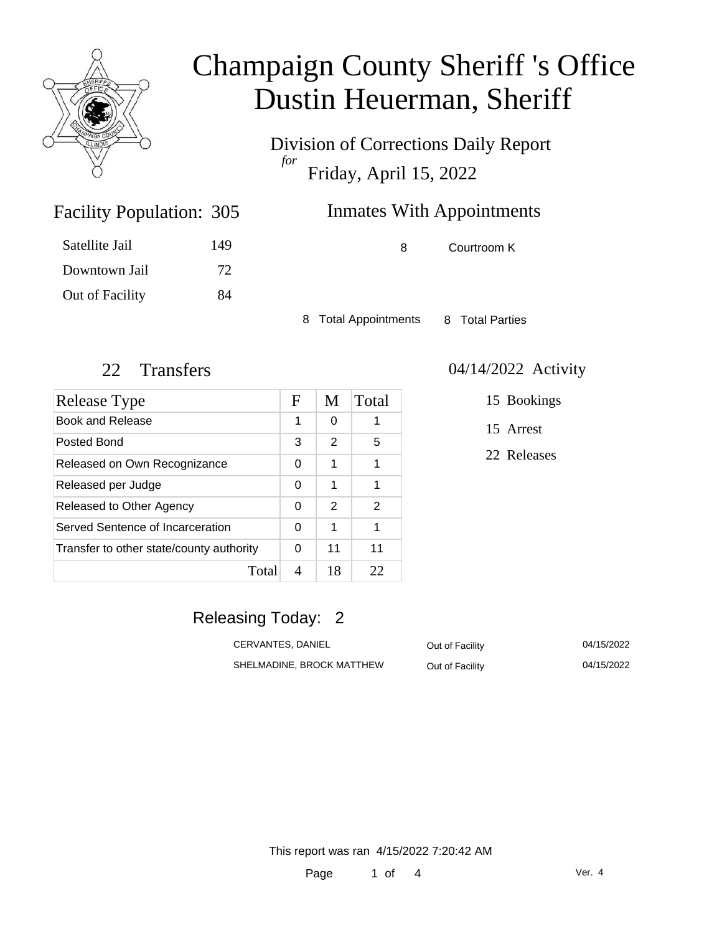

Satellite Jail

Downtown Jail

Facility Population:

# Champaign County Sheriff 's Office Dustin Heuerman, Sheriff

Division of Corrections Daily Report *for* Friday, April 15, 2022

| 305 | <b>Inmates With Appointments</b> |   |             |
|-----|----------------------------------|---|-------------|
| 149 |                                  | 8 | Courtroom K |
| 72  |                                  |   |             |

8 Total Appointments 8 Total Parties

Out of Facility 84

| <b>Release Type</b>                      | F | M  | Total         |
|------------------------------------------|---|----|---------------|
| <b>Book and Release</b>                  | 1 | 0  |               |
| Posted Bond                              | 3 | 2  | 5             |
| Released on Own Recognizance             | 0 | 1  | 1             |
| Released per Judge                       | 0 | 1  | 1             |
| Released to Other Agency                 | 0 | 2  | $\mathcal{P}$ |
| Served Sentence of Incarceration         | 0 | 1  | 1             |
| Transfer to other state/county authority | 0 | 11 | 11            |
| Total                                    | 4 | 18 | フフ            |

#### 22 Transfers 04/14/2022 Activity

15 Bookings

15 Arrest

22 Releases

### Releasing Today: 2

| CERVANTES, DANIEL         | Out of Facility | 04/15/2022 |
|---------------------------|-----------------|------------|
| SHELMADINE, BROCK MATTHEW | Out of Facility | 04/15/2022 |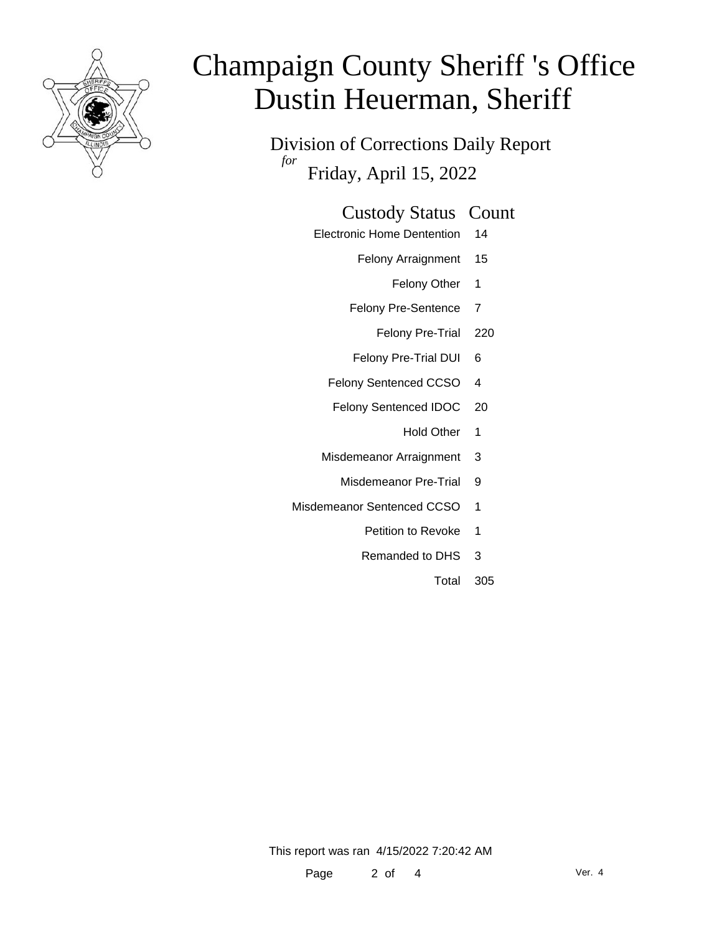

# Champaign County Sheriff 's Office Dustin Heuerman, Sheriff

Division of Corrections Daily Report *for* Friday, April 15, 2022

#### Custody Status Count

- Electronic Home Dentention 14
	- Felony Arraignment 15
		- Felony Other 1
	- Felony Pre-Sentence 7
		- Felony Pre-Trial 220
	- Felony Pre-Trial DUI 6
	- Felony Sentenced CCSO 4
	- Felony Sentenced IDOC 20
		- Hold Other 1
	- Misdemeanor Arraignment 3
		- Misdemeanor Pre-Trial 9
- Misdemeanor Sentenced CCSO 1
	- Petition to Revoke 1
	- Remanded to DHS 3
		- Total 305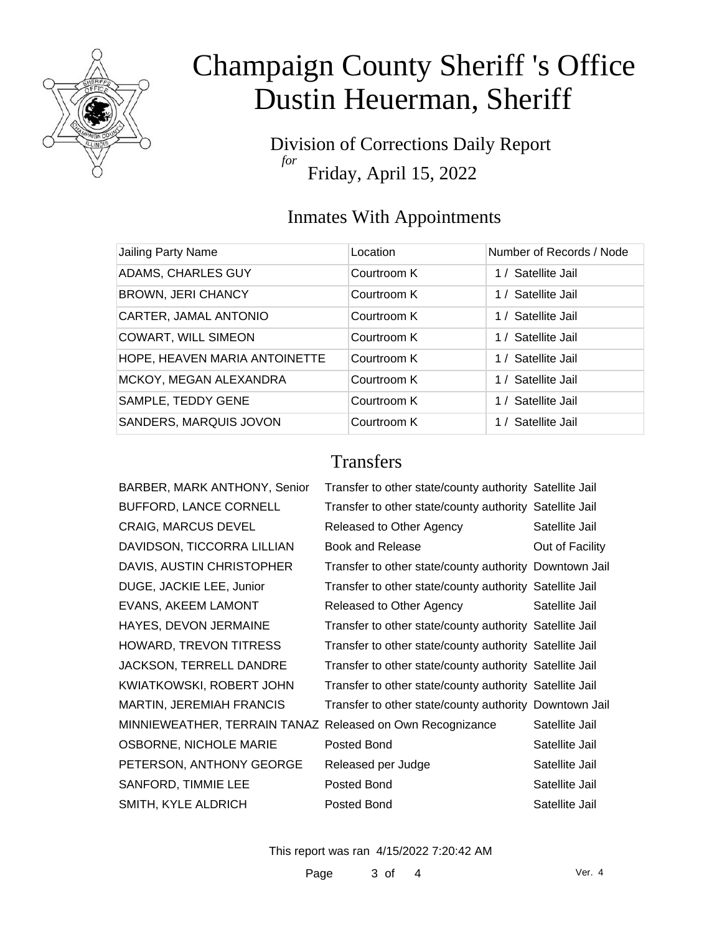

# Champaign County Sheriff 's Office Dustin Heuerman, Sheriff

Division of Corrections Daily Report *for* Friday, April 15, 2022

## Inmates With Appointments

| Jailing Party Name            | Location    | Number of Records / Node |
|-------------------------------|-------------|--------------------------|
| ADAMS, CHARLES GUY            | Courtroom K | 1 / Satellite Jail       |
| <b>BROWN, JERI CHANCY</b>     | Courtroom K | 1 / Satellite Jail       |
| CARTER, JAMAL ANTONIO         | Courtroom K | 1 / Satellite Jail       |
| <b>COWART, WILL SIMEON</b>    | Courtroom K | 1 / Satellite Jail       |
| HOPE, HEAVEN MARIA ANTOINETTE | Courtroom K | 1 / Satellite Jail       |
| MCKOY, MEGAN ALEXANDRA        | Courtroom K | 1 / Satellite Jail       |
| SAMPLE, TEDDY GENE            | Courtroom K | 1 / Satellite Jail       |
| SANDERS, MARQUIS JOVON        | Courtroom K | 1 / Satellite Jail       |

## **Transfers**

| BARBER, MARK ANTHONY, Senior                              | Transfer to other state/county authority Satellite Jail |                 |
|-----------------------------------------------------------|---------------------------------------------------------|-----------------|
| BUFFORD, LANCE CORNELL                                    | Transfer to other state/county authority Satellite Jail |                 |
| <b>CRAIG, MARCUS DEVEL</b>                                | Released to Other Agency                                | Satellite Jail  |
| DAVIDSON, TICCORRA LILLIAN                                | <b>Book and Release</b>                                 | Out of Facility |
| DAVIS, AUSTIN CHRISTOPHER                                 | Transfer to other state/county authority Downtown Jail  |                 |
| DUGE, JACKIE LEE, Junior                                  | Transfer to other state/county authority Satellite Jail |                 |
| EVANS, AKEEM LAMONT                                       | Released to Other Agency                                | Satellite Jail  |
| HAYES, DEVON JERMAINE                                     | Transfer to other state/county authority Satellite Jail |                 |
| HOWARD, TREVON TITRESS                                    | Transfer to other state/county authority Satellite Jail |                 |
| JACKSON, TERRELL DANDRE                                   | Transfer to other state/county authority Satellite Jail |                 |
| KWIATKOWSKI, ROBERT JOHN                                  | Transfer to other state/county authority Satellite Jail |                 |
| <b>MARTIN, JEREMIAH FRANCIS</b>                           | Transfer to other state/county authority Downtown Jail  |                 |
| MINNIEWEATHER, TERRAIN TANAZ Released on Own Recognizance |                                                         | Satellite Jail  |
| OSBORNE, NICHOLE MARIE                                    | Posted Bond                                             | Satellite Jail  |
| PETERSON, ANTHONY GEORGE                                  | Released per Judge                                      | Satellite Jail  |
| SANFORD, TIMMIE LEE                                       | Posted Bond                                             | Satellite Jail  |
| SMITH, KYLE ALDRICH                                       | Posted Bond                                             | Satellite Jail  |